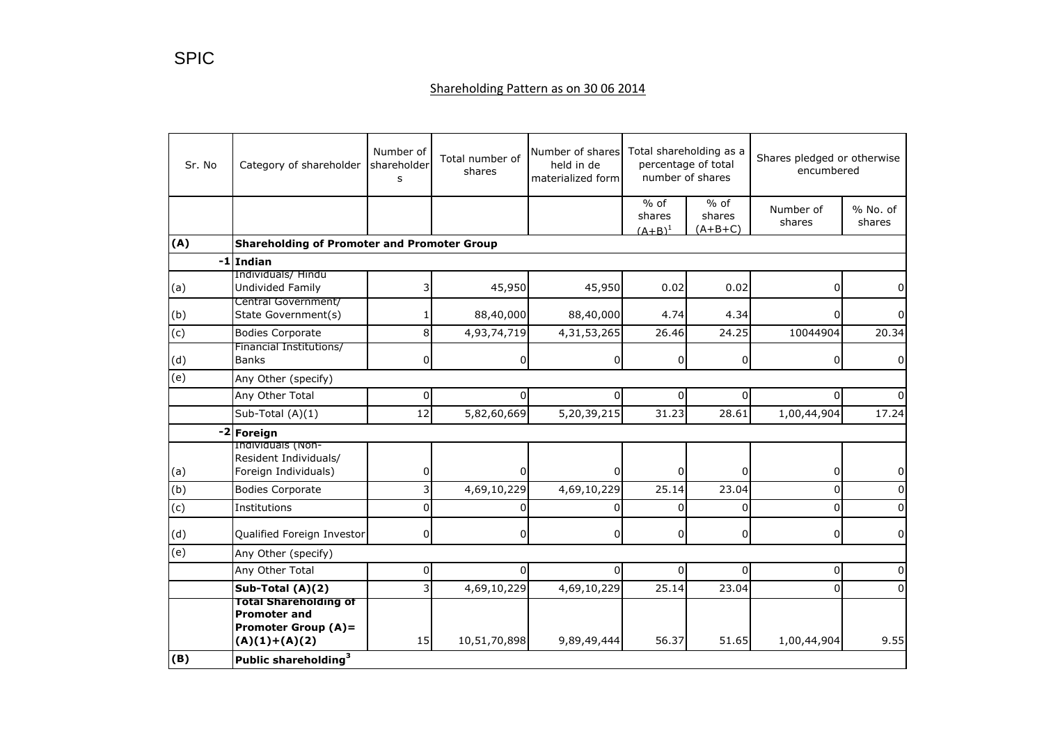## Shareholding Pattern as on 30 06 2014

| Sr. No | Category of shareholder                                                                              | Number of<br>shareholder<br>S | Total number of<br>shares | Number of shares<br>held in de<br>materialized form | Total shareholding as a<br>percentage of total<br>number of shares |                               | Shares pledged or otherwise<br>encumbered |                    |
|--------|------------------------------------------------------------------------------------------------------|-------------------------------|---------------------------|-----------------------------------------------------|--------------------------------------------------------------------|-------------------------------|-------------------------------------------|--------------------|
|        |                                                                                                      |                               |                           |                                                     | $%$ of<br>shares<br>$(A+B)^1$                                      | $%$ of<br>shares<br>$(A+B+C)$ | Number of<br>shares                       | % No. of<br>shares |
| (A)    | <b>Shareholding of Promoter and Promoter Group</b>                                                   |                               |                           |                                                     |                                                                    |                               |                                           |                    |
|        | $-1$ Indian                                                                                          |                               |                           |                                                     |                                                                    |                               |                                           |                    |
| (a)    | Individuals/ Hindu<br>Undivided Family                                                               |                               | 45,950                    | 45,950                                              | 0.02                                                               | 0.02                          | 0                                         |                    |
| (b)    | Central Government/<br>State Government(s)                                                           |                               | 88,40,000                 | 88,40,000                                           | 4.74                                                               | 4.34                          | 0                                         |                    |
| (c)    | <b>Bodies Corporate</b>                                                                              | 8                             | 4,93,74,719               | 4,31,53,265                                         | 26.46                                                              | 24.25                         | 10044904                                  | 20.34              |
| (d)    | Financial Institutions/<br><b>Banks</b>                                                              | 0                             | 0                         | 0                                                   | 0                                                                  | $\overline{0}$                | 0                                         | 0                  |
| (e)    | Any Other (specify)                                                                                  |                               |                           |                                                     |                                                                    |                               |                                           |                    |
|        | Any Other Total                                                                                      | 0                             | 0                         | 0                                                   | $\Omega$                                                           | $\overline{0}$                | $\Omega$                                  |                    |
|        | Sub-Total (A)(1)                                                                                     | 12                            | 5,82,60,669               | 5,20,39,215                                         | 31.23                                                              | 28.61                         | 1,00,44,904                               | 17.24              |
|        | -2 Foreign                                                                                           |                               |                           |                                                     |                                                                    |                               |                                           |                    |
| (a)    | Individuals (Non-<br>Resident Individuals/<br>Foreign Individuals)                                   | 0                             |                           |                                                     | U                                                                  | $\Omega$                      | 0                                         | 0                  |
| (b)    | <b>Bodies Corporate</b>                                                                              | 3 <sup>1</sup>                | 4,69,10,229               | 4,69,10,229                                         | $\overline{2}$ 5.14                                                | 23.04                         | 0                                         | $\Omega$           |
| (c)    | Institutions                                                                                         | $\Omega$                      | n                         | O                                                   | $\Omega$                                                           | $\Omega$                      | 0                                         | U                  |
| (d)    | Qualified Foreign Investor                                                                           | $\mathbf 0$                   | $\overline{0}$            | 0                                                   | $\Omega$                                                           | $\overline{0}$                | 0                                         | $\Omega$           |
| (e)    | Any Other (specify)                                                                                  |                               |                           |                                                     |                                                                    |                               |                                           |                    |
|        | Any Other Total                                                                                      | 0                             | 0                         | 0                                                   | 0                                                                  | $\overline{0}$                | 0                                         | 0                  |
|        | Sub-Total (A)(2)                                                                                     | $\overline{3}$                | 4,69,10,229               | 4,69,10,229                                         | 25.14                                                              | 23.04                         | 0                                         | $\Omega$           |
|        | <b>Total Shareholding of</b><br><b>Promoter and</b><br><b>Promoter Group (A)=</b><br>$(A)(1)+(A)(2)$ | 15                            | 10,51,70,898              | 9,89,49,444                                         | 56.37                                                              | 51.65                         | 1,00,44,904                               | 9.55               |
| (B)    | Public shareholding <sup>3</sup>                                                                     |                               |                           |                                                     |                                                                    |                               |                                           |                    |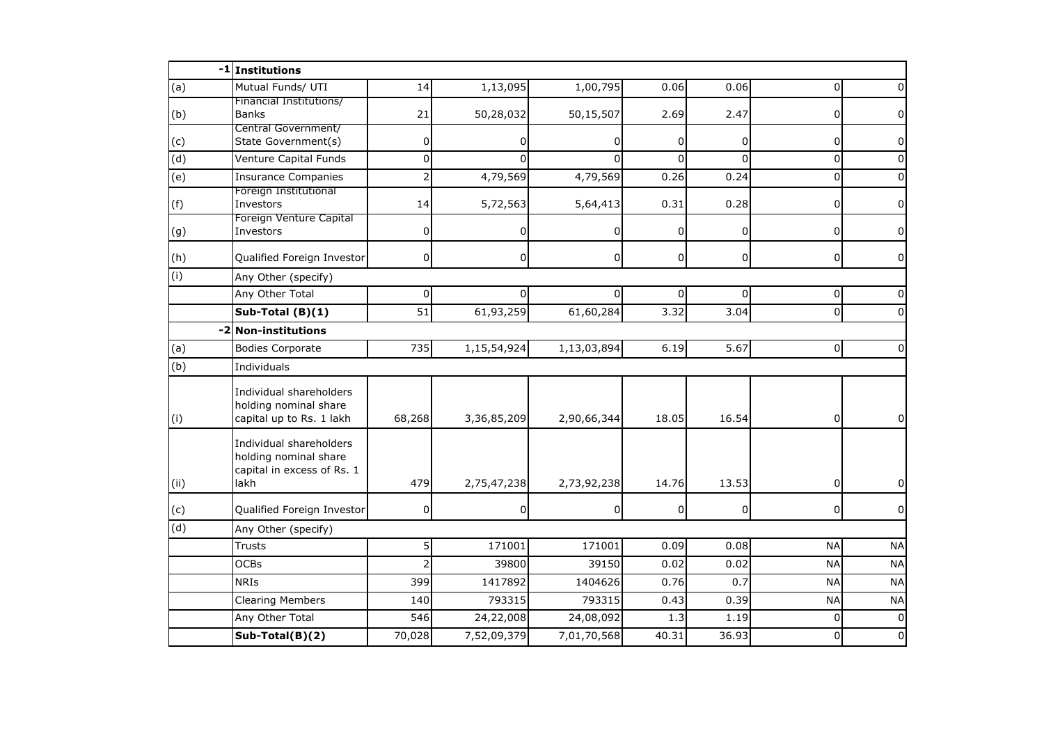|                | -1 Institutions                                                                        |                |                |                |          |                |                |              |
|----------------|----------------------------------------------------------------------------------------|----------------|----------------|----------------|----------|----------------|----------------|--------------|
| (a)            | Mutual Funds/ UTI                                                                      | 14             | 1,13,095       | 1,00,795       | 0.06     | 0.06           | $\Omega$       |              |
| (b)            | Financial Institutions/<br><b>Banks</b>                                                | 21             | 50,28,032      | 50,15,507      | 2.69     | 2.47           | 0              |              |
| (c)            | Central Government/<br>State Government(s)                                             | 0              | 0              | 0              | $\Omega$ | $\overline{0}$ | 0              | 0            |
| $\overline{d}$ | Venture Capital Funds                                                                  | $\mathbf 0$    | $\Omega$       | $\Omega$       | ΩI       | $\Omega$       | 0              | <sup>0</sup> |
| (e)            | <b>Insurance Companies</b>                                                             | $\overline{2}$ | 4,79,569       | 4,79,569       | 0.26     | 0.24           | $\mathbf 0$    |              |
| (f)            | Foreign Institutional<br>Investors                                                     | 14             | 5,72,563       | 5,64,413       | 0.31     | 0.28           | 0              | 0            |
| (g)            | Foreign Venture Capital<br>Investors                                                   | 0              |                | $\Omega$       | 0        | $\overline{0}$ | 0              | 0            |
| (h)            | Qualified Foreign Investor                                                             | $\mathbf 0$    | $\overline{0}$ | $\overline{0}$ | 0        | $\overline{0}$ | $\overline{0}$ | 0            |
| (i)            | Any Other (specify)                                                                    |                |                |                |          |                |                |              |
|                | Any Other Total                                                                        | 0              |                | 0              | 0        | $\Omega$       | 0              |              |
|                | Sub-Total (B)(1)                                                                       | 51             | 61,93,259      | 61,60,284      | 3.32     | 3.04           | $\mathbf 0$    |              |
| $-2$           | <b>Non-institutions</b>                                                                |                |                |                |          |                |                |              |
| (a)            | <b>Bodies Corporate</b>                                                                | 735            | 1,15,54,924    | 1,13,03,894    | 6.19     | 5.67           | $\overline{0}$ | $\Omega$     |
| (b)            | Individuals                                                                            |                |                |                |          |                |                |              |
| (i)            | Individual shareholders<br>holding nominal share<br>capital up to Rs. 1 lakh           | 68,268         | 3,36,85,209    | 2,90,66,344    | 18.05    | 16.54          | $\overline{0}$ | 0            |
| (i)            | Individual shareholders<br>holding nominal share<br>capital in excess of Rs. 1<br>lakh | 479            | 2,75,47,238    | 2,73,92,238    | 14.76    | 13.53          | 0              |              |
| (c)            | Qualified Foreign Investor                                                             | 0              | 0              | 0              | 0        | $\overline{0}$ | 0              | $\Omega$     |
| (d)            | Any Other (specify)                                                                    |                |                |                |          |                |                |              |
|                | <b>Trusts</b>                                                                          | 5              | 171001         | 171001         | 0.09     | 0.08           | <b>NA</b>      | <b>NA</b>    |
|                | <b>OCBs</b>                                                                            | $\overline{2}$ | 39800          | 39150          | 0.02     | 0.02           | <b>NA</b>      | <b>NA</b>    |
|                | <b>NRIS</b>                                                                            | 399            | 1417892        | 1404626        | 0.76     | 0.7            | <b>NA</b>      | <b>NA</b>    |
|                | <b>Clearing Members</b>                                                                | 140            | 793315         | 793315         | 0.43     | 0.39           | <b>NA</b>      | <b>NA</b>    |
|                | Any Other Total                                                                        | 546            | 24,22,008      | 24,08,092      | 1.3      | 1.19           | $\Omega$       | $\Omega$     |
|                | Sub-Total(B)(2)                                                                        | 70,028         | 7,52,09,379    | 7,01,70,568    | 40.31    | 36.93          | $\Omega$       | $\Omega$     |